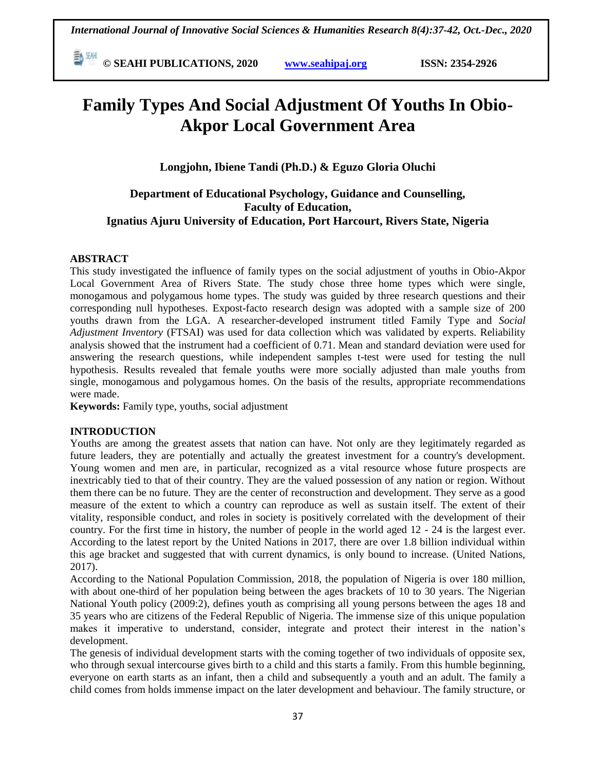**E**  $\frac{844}{30}$  © SEAHI PUBLICATIONS, 2020 *www.seahipaj.org* **ISSN: 2354-2926** 

# **Family Types And Social Adjustment Of Youths In Obio-Akpor Local Government Area**

**Longjohn, Ibiene Tandi (Ph.D.) & Eguzo Gloria Oluchi** 

## **Department of Educational Psychology, Guidance and Counselling, Faculty of Education, Ignatius Ajuru University of Education, Port Harcourt, Rivers State, Nigeria**

## **ABSTRACT**

This study investigated the influence of family types on the social adjustment of youths in Obio-Akpor Local Government Area of Rivers State. The study chose three home types which were single, monogamous and polygamous home types. The study was guided by three research questions and their corresponding null hypotheses. Expost-facto research design was adopted with a sample size of 200 youths drawn from the LGA. A researcher-developed instrument titled Family Type and *Social Adjustment Inventory* (FTSAI) was used for data collection which was validated by experts. Reliability analysis showed that the instrument had a coefficient of 0.71. Mean and standard deviation were used for answering the research questions, while independent samples t-test were used for testing the null hypothesis. Results revealed that female youths were more socially adjusted than male youths from single, monogamous and polygamous homes. On the basis of the results, appropriate recommendations were made.

**Keywords:** Family type, youths, social adjustment

## **INTRODUCTION**

Youths are among the greatest assets that nation can have. Not only are they legitimately regarded as future leaders, they are potentially and actually the greatest investment for a country's development. Young women and men are, in particular, recognized as a vital resource whose future prospects are inextricably tied to that of their country. They are the valued possession of any nation or region. Without them there can be no future. They are the center of reconstruction and development. They serve as a good measure of the extent to which a country can reproduce as well as sustain itself. The extent of their vitality, responsible conduct, and roles in society is positively correlated with the development of their country. For the first time in history, the number of people in the world aged 12 - 24 is the largest ever. According to the latest report by the United Nations in 2017, there are over 1.8 billion individual within this age bracket and suggested that with current dynamics, is only bound to increase. (United Nations, 2017).

According to the National Population Commission, 2018, the population of Nigeria is over 180 million, with about one-third of her population being between the ages brackets of 10 to 30 years. The Nigerian National Youth policy (2009:2), defines youth as comprising all young persons between the ages 18 and 35 years who are citizens of the Federal Republic of Nigeria. The immense size of this unique population makes it imperative to understand, consider, integrate and protect their interest in the nation's development.

The genesis of individual development starts with the coming together of two individuals of opposite sex, who through sexual intercourse gives birth to a child and this starts a family. From this humble beginning, everyone on earth starts as an infant, then a child and subsequently a youth and an adult. The family a child comes from holds immense impact on the later development and behaviour. The family structure, or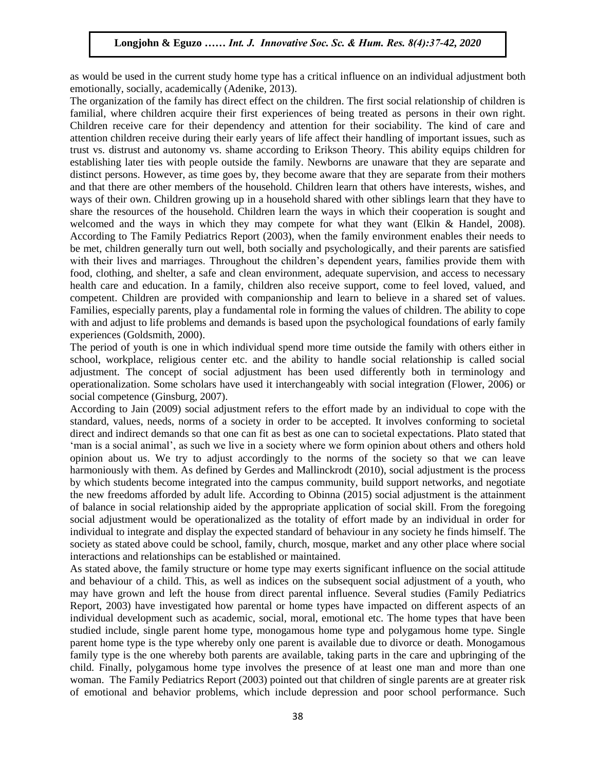as would be used in the current study home type has a critical influence on an individual adjustment both emotionally, socially, academically (Adenike, 2013).

The organization of the family has direct effect on the children. The first social relationship of children is familial, where children acquire their first experiences of being treated as persons in their own right. Children receive care for their dependency and attention for their sociability. The kind of care and attention children receive during their early years of life affect their handling of important issues, such as trust vs. distrust and autonomy vs. shame according to Erikson Theory. This ability equips children for establishing later ties with people outside the family. Newborns are unaware that they are separate and distinct persons. However, as time goes by, they become aware that they are separate from their mothers and that there are other members of the household. Children learn that others have interests, wishes, and and that there are other members of the household. Children learn that others have interests, wishes, and ways of their own. Children growing up in a household shared with other siblings learn that they have to share the resources of the household. Children learn the ways in which their cooperation is sought and welcomed and the ways in which they may compete for what they want (Elkin & Handel, 2008). werefold and the ways in which they may compete for what they want (EIKIN & Hander, 2006).<br>According to The Family Pediatrics Report (2003), when the family environment enables their needs to be met, children generally turn out well, both socially and psychologically, and their parents are satisfied with their lives and marriages. Throughout the children's dependent years, families provide them with food, clothing, and shelter, a safe and clean environment, adequate supervision, and access to necessary health care and a health at  $\Gamma$ health care and education. In a family, children also receive support, come to feel loved, valued, and competent. Children are provided with companionship and learn to believe in a shared set of values. Families, especially parents, play a fundamental role in forming the values of children. The ability to cope with and adjust to life problems and demands is based upon the psychological foundations of early family syncretions of early family experiences (Goldsmith, 2000).

The period of youth is one in which individual spend more time outside the family with others either in school, workplace, religious center etc. and the ability to handle social relationship is called social adjustment. The concept of social adjustment has been used differently both in terminology and adjustment. The concept of social adjustment has been used unterempt bout in terminology and operationalization. Some scholars have used it interchangeably with social integration (Flower, 2006) or social competence (Ginsburg, 2007).

According to Jain (2009) social adjustment refers to the effort made by an individual to cope with the standard, values, needs, norms of a society in order to be accepted. It involves conforming to societal direct and indirect demands so that one can fit as best as one can to societal expectations. Plato stated that 'man is a social animal', as such we live in a society where we form opinion about others and others hold opinion about us. We try to adjust accordingly to the norms of the society so that we can leave harmoniously with them. As defined by Gerdes and Mallinckrodt (2010), social adjustment is the process by which students become integrated into the campus community, build support networks, and negotiate the new freedoms afforded by adult life. According to Obinna (2015) social adjustment is the attainment of balance in social relationship aided by the appropriate application of social skill. From the foregoing social adjustment would be operationalized as the totality of effort made by an individual in order for individual to integrate and display the expected standard of behaviour in any society he finds himself. The society as stated above could be school, family, church, mosque, market and any other place where social interactions and relationships can be established or maintained.

As stated above, the family structure or home type may exerts significant influence on the social attitude and behaviour of a child. This, as well as indices on the subsequent social adjustment of a youth, who may have grown and left the house from direct parental influence. Several studies (Family Pediatrics Report, 2003) have investigated how parental or home types have impacted on different aspects of an individual development such as academic, social, moral, emotional etc. The home types that have been studied include, single parent home type, monogamous home type and polygamous home type. Single parent home type is the type whereby only one parent is available due to divorce or death. Monogamous family type is the one whereby both parents are available, taking parts in the care and upbringing of the child. Finally, polygamous home type involves the presence of at least one man and more than one woman. The Family Pediatrics Report (2003) pointed out that children of single parents are at greater risk of emotional and behavior problems, which include depression and poor school performance. Such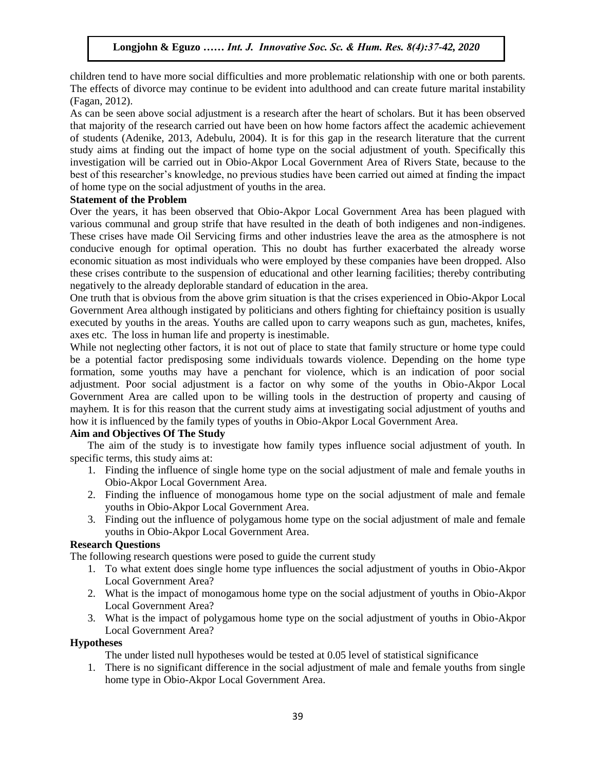children tend to have more social difficulties and more problematic relationship with one or both parents. The effects of divorce may continue to be evident into adulthood and can create future marital instability  $\Gamma$ (Fagan, 2012).

As can be seen above social adjustment is a research after the heart of scholars. But it has been observed that majority of the research carried out have been on how home factors affect the academic achievement of students (Adenike, 2013, Adebulu, 2004). It is for this gap in the research literature that the current study aims at finding out the impact of home type on the social adjustment of youth. Specifically this investigation will be carried out in Obio-Akpor Local Government Area of Rivers State, because to the best of this researcher's knowledge, no previous studies have been carried out aimed at finding the impact of home type on the social adjustment of youths in the area.

#### **Statement of the Problem**

Over the years, it has been observed that Obio-Akpor Local Government Area has been plagued with various communal and group strife that have resulted in the death of both indigenes and non-indigenes. These crises have made Oil Servicing firms and other industries leave the area as the atmosphere is not conducive enough for optimal operation. This no doubt has further exacerbated the already worse economic situation as most individuals who were employed by these companies have been dropped. Also these crises contribute to the suspension of educational and other learning facilities; thereby contributing negatively to the already deplorable standard of education in the area.

One truth that is obvious from the above grim situation is that the crises experienced in Obio-Akpor Local Government Area although instigated by politicians and others fighting for chieftaincy position is usually executed by youths in the areas. Youths are called upon to carry weapons such as gun, machetes, knifes, axes etc. The loss in human life and property is inestimable.

While not neglecting other factors, it is not out of place to state that family structure or home type could be a potential factor predisposing some individuals towards violence. Depending on the home type formation, some youths may have a penchant for violence, which is an indication of poor social adjustment. Poor social adjustment is a factor on why some of the youths in Obio-Akpor Local Government Area are called upon to be willing tools in the destruction of property and causing of mayhem. It is for this reason that the current study aims at investigating social adjustment of youths and how it is influenced by the family types of youths in Obio-Akpor Local Government Area.

### **Aim and Objectives Of The Study**

The aim of the study is to investigate how family types influence social adjustment of youth. In specific terms, this study aims at:

- 1. Finding the influence of single home type on the social adjustment of male and female youths in Obio-Akpor Local Government Area.
- 2. Finding the influence of monogamous home type on the social adjustment of male and female youths in Obio-Akpor Local Government Area.
- 3. Finding out the influence of polygamous home type on the social adjustment of male and female youths in Obio-Akpor Local Government Area.

#### **Research Questions**

The following research questions were posed to guide the current study

- 1. To what extent does single home type influences the social adjustment of youths in Obio-Akpor Local Government Area?
- 2. What is the impact of monogamous home type on the social adjustment of youths in Obio-Akpor Local Government Area?
- 3. What is the impact of polygamous home type on the social adjustment of youths in Obio-Akpor Local Government Area?

#### **Hypotheses**

The under listed null hypotheses would be tested at 0.05 level of statistical significance

1. There is no significant difference in the social adjustment of male and female youths from single home type in Obio-Akpor Local Government Area.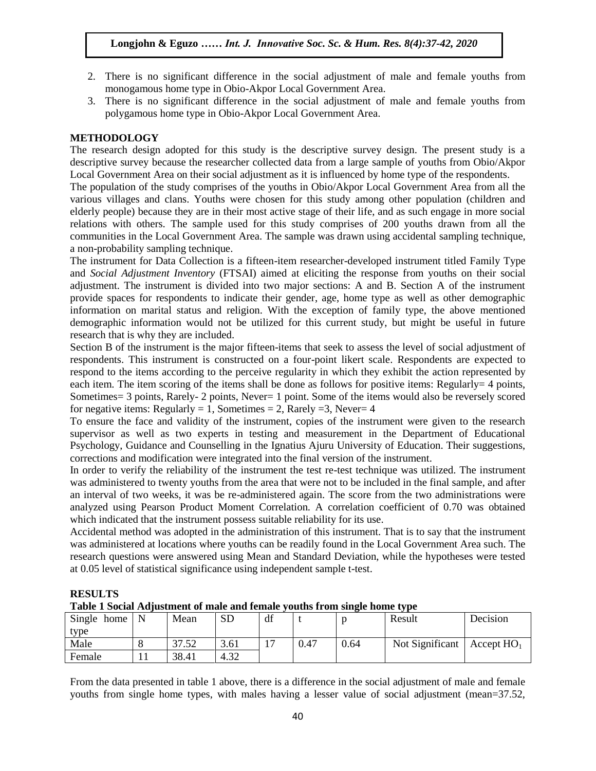- 2. There is no significant difference in the social adjustment of male and female youths from There is no significant unterface in the social adjustment of male<br>monogamous home type in Obio-Akpor Local Government Area.
- 3. There is no significant difference in the social adjustment of male and female youths from polygamous home type in Obio-Akpor Local Government Area.

#### **METHODOLOGY**  $\mathbf{H}$

**RESULTS** 

The research design adopted for this study is the descriptive survey design. The present study is a descriptive survey because the researcher collected data from a large sample of youths from Obio/Akpor Local Government Area on their social adjustment as it is influenced by home type of the respondents.

Ebear Government Area on their social adjustment as it is immedied by none type of the respondents.<br>The population of the study comprises of the youths in Obio/Akpor Local Government Area from all the various villages and clans. Youths were chosen for this study among other population (children and elderly people) because they are in their most active stage of their life, and as such engage in more social relations with others. The sample used for this study comprises of 200 youths drawn from all the communities in the Local Government Area. The sample was drawn using accidental sampling technique, communities in the Local Government Area. The sample was drawn using accidental sampling technique, a non-probability sampling technique.

The instrument for Data Collection is a fifteen-item researcher-developed instrument titled Family Type and *Social Adjustment Inventory* (FTSAI) aimed at eliciting the response from youths on their social and *social Adjustment Inventory* (113AI) anned at encling the response from youths on their social adjustment. The instrument is divided into two major sections: A and B. Section A of the instrument provide spaces for respondents to indicate their gender, age, home type as well as other demographic information on marital status and religion. With the exception of family type, the above mentioned demographic information would not be utilized for this current study, but might be useful in future research that is why they are included research that is why they are included.

Section B of the instrument is the major fifteen-items that seek to assess the level of social adjustment of respondents. This instrument is constructed on a four-point likert scale. Respondents are expected to respond to the items according to the perceive regularity in which they exhibit the action represented by each item. The item scoring of the items shall be done as follows for positive items: Regularly= 4 points, Sometimes= 3 points, Rarely- 2 points, Never= 1 point. Some of the items would also be reversely scored for negative items: Regularly = 1, Sometimes = 2, Rarely = 3, Never = 4

To ensure the face and validity of the instrument, copies of the instrument were given to the research supervisor as well as two experts in testing and measurement in the Department of Educational Psychology, Guidance and Counselling in the Ignatius Ajuru University of Education. Their suggestions, corrections and modification were integrated into the final version of the instrument.

In order to verify the reliability of the instrument the test re-test technique was utilized. The instrument was administered to twenty youths from the area that were not to be included in the final sample, and after an interval of two weeks, it was be re-administered again. The score from the two administrations were analyzed using Pearson Product Moment Correlation. A correlation coefficient of 0.70 was obtained which indicated that the instrument possess suitable reliability for its use.

Accidental method was adopted in the administration of this instrument. That is to say that the instrument was administered at locations where youths can be readily found in the Local Government Area such. The research questions were answered using Mean and Standard Deviation, while the hypotheses were tested at 0.05 level of statistical significance using independent sample t-test.

| Single home | $\mathbf N$ | Mean  | <b>SD</b> | df |      |      | Result          | Decision                     |
|-------------|-------------|-------|-----------|----|------|------|-----------------|------------------------------|
| type        |             |       |           |    |      |      |                 |                              |
| Male        |             | 37.52 | 3.61      |    | 0.47 | 0.64 | Not Significant | $\overline{A}$ Accept $HO_1$ |
| Female      |             | 38.41 | 4.32      |    |      |      |                 |                              |

**Table 1 Social Adjustment of male and female youths from single home type**

From the data presented in table 1 above, there is a difference in the social adjustment of male and female youths from single home types, with males having a lesser value of social adjustment (mean=37.52,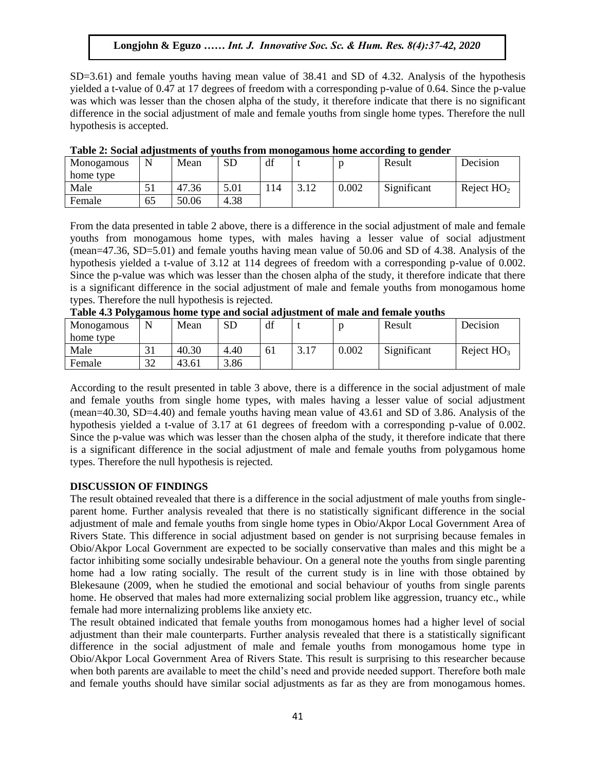SD=3.61) and female youths having mean value of 38.41 and SD of 4.32. Analysis of the hypothesis  $SL = 3.51$ ) and formally youths naving mean value of  $35.11$  and  $32.9$  of  $1.52$ . That yes of the hypothesis yielded a t-value of 0.47 at 17 degrees of freedom with a corresponding p-value of 0.64. Since the p-value was which was lesser than the chosen alpha of the study, it therefore indicate that there is no significant difference in the social adjustment of male and female youths from single home types. Therefore the null hypothesis is accepted.  $A<sub>1</sub>$ ,  $B<sub>1</sub>$ ,  $C<sub>2</sub>$ ,  $B<sub>1</sub>$ ,  $C<sub>2</sub>$ ,  $C<sub>3</sub>$ 

|            | .  |       |           |     | ິ    |       | $\cdot$<br>. . |              |
|------------|----|-------|-----------|-----|------|-------|----------------|--------------|
| Monogamous | N  | Mean  | <b>SD</b> | df  |      |       | Result         | Decision     |
| home type  |    |       |           |     |      |       |                |              |
| Male       | JI | 47.36 | 5.01      | 14ء | 3.12 | 0.002 | Significant    | Reject $HO2$ |
| Female     | 65 | 50.06 | 4.38      |     |      |       |                |              |

|  | Table 2: Social adjustments of youths from monogamous home according to gender |
|--|--------------------------------------------------------------------------------|
|  |                                                                                |

From the data presented in table 2 above, there is a difference in the social adjustment of male and female From the data presented in table 2 above, there is a difference in the social adjustment of hald adjustment youths from monogamous home types, with males having a lesser value of social adjustment (mean=47.36, SD=5.01) and female youths having mean value of 50.06 and SD of 4.38. Analysis of the hypothesis yielded a t-value of 3.12 at 114 degrees of freedom with a corresponding p-value of 0.002. Since the p-value was which was lesser than the chosen alpha of the study, it therefore indicate that there is a significant difference in the social adjustment of male and female youths from monogamous home is a significant difference in the social adjustment of male and female youths from monogamous home types. Therefore the null hypothesis is rejected. **Table 4.3 Polygamous home type and social adjustment of male and female youths**

| Table 4.5 Forygamous home type and social adjustment of male and female youths |  |      |    |    |  |  |        |      |  |  |
|--------------------------------------------------------------------------------|--|------|----|----|--|--|--------|------|--|--|
| Monogamous   N                                                                 |  | Mean | SD | df |  |  | Result | Deci |  |  |

| Monogamous |    | Mean  | SD   | df |      |       | Result      | Decision     |
|------------|----|-------|------|----|------|-------|-------------|--------------|
| home type  |    |       |      |    |      |       |             |              |
| Male       | ЭI | 40.30 | 4.40 | 61 | 3.17 | 0.002 | Significant | Reject $HO3$ |
| Female     | 32 | 43.61 | 3.86 |    |      |       |             |              |

According to the result presented in table 3 above, there is a difference in the social adjustment of male and female youths from single home types, with males having a lesser value of social adjustment (mean=40.30, SD=4.40) and female youths having mean value of 43.61 and SD of 3.86. Analysis of the hypothesis yielded a t-value of 3.17 at 61 degrees of freedom with a corresponding p-value of 0.002. Since the p-value was which was lesser than the chosen alpha of the study, it therefore indicate that there is a significant difference in the social adjustment of male and female youths from polygamous home types. Therefore the null hypothesis is rejected.

#### **DISCUSSION OF FINDINGS**

The result obtained revealed that there is a difference in the social adjustment of male youths from singleparent home. Further analysis revealed that there is no statistically significant difference in the social adjustment of male and female youths from single home types in Obio/Akpor Local Government Area of Rivers State. This difference in social adjustment based on gender is not surprising because females in Obio/Akpor Local Government are expected to be socially conservative than males and this might be a factor inhibiting some socially undesirable behaviour. On a general note the youths from single parenting home had a low rating socially. The result of the current study is in line with those obtained by Blekesaune (2009, when he studied the emotional and social behaviour of youths from single parents home. He observed that males had more externalizing social problem like aggression, truancy etc., while female had more internalizing problems like anxiety etc.

The result obtained indicated that female youths from monogamous homes had a higher level of social adjustment than their male counterparts. Further analysis revealed that there is a statistically significant difference in the social adjustment of male and female youths from monogamous home type in Obio/Akpor Local Government Area of Rivers State. This result is surprising to this researcher because when both parents are available to meet the child's need and provide needed support. Therefore both male and female youths should have similar social adjustments as far as they are from monogamous homes.